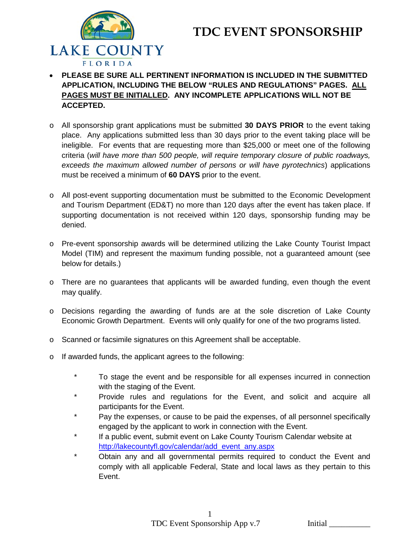



- **PLEASE BE SURE ALL PERTINENT INFORMATION IS INCLUDED IN THE SUBMITTED APPLICATION, INCLUDING THE BELOW "RULES AND REGULATIONS" PAGES. ALL PAGES MUST BE INITIALLED. ANY INCOMPLETE APPLICATIONS WILL NOT BE ACCEPTED.**
- o All sponsorship grant applications must be submitted **30 DAYS PRIOR** to the event taking place. Any applications submitted less than 30 days prior to the event taking place will be ineligible. For events that are requesting more than \$25,000 or meet one of the following criteria (*will have more than 500 people, will require temporary closure of public roadways, exceeds the maximum allowed number of persons or will have pyrotechnics*) applications must be received a minimum of **60 DAYS** prior to the event.
- o All post-event supporting documentation must be submitted to the Economic Development and Tourism Department (ED&T) no more than 120 days after the event has taken place. If supporting documentation is not received within 120 days, sponsorship funding may be denied.
- o Pre-event sponsorship awards will be determined utilizing the Lake County Tourist Impact Model (TIM) and represent the maximum funding possible, not a guaranteed amount (see below for details.)
- o There are no guarantees that applicants will be awarded funding, even though the event may qualify.
- o Decisions regarding the awarding of funds are at the sole discretion of Lake County Economic Growth Department. Events will only qualify for one of the two programs listed.
- o Scanned or facsimile signatures on this Agreement shall be acceptable.
- o If awarded funds, the applicant agrees to the following:
	- \* To stage the event and be responsible for all expenses incurred in connection with the staging of the Event.
	- \* Provide rules and regulations for the Event, and solicit and acquire all participants for the Event.
	- \* Pay the expenses, or cause to be paid the expenses, of all personnel specifically engaged by the applicant to work in connection with the Event.
	- \* If a public event, submit event on Lake County Tourism Calendar website at [http://lakecountyfl.gov/calendar/add\\_event\\_any.aspx](http://lakecountyfl.gov/calendar/add_event_any.aspx)
	- \* Obtain any and all governmental permits required to conduct the Event and comply with all applicable Federal, State and local laws as they pertain to this Event.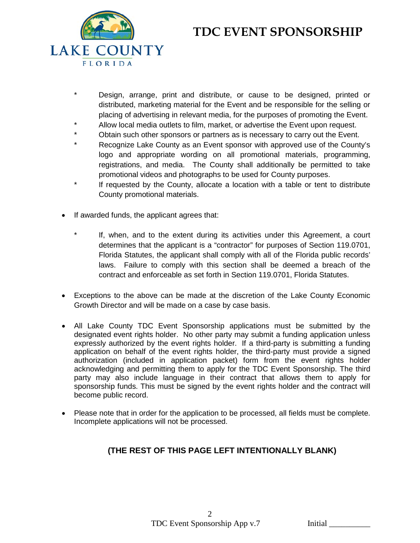# **TDC EVENT SPONSORSHIP**



- \* Design, arrange, print and distribute, or cause to be designed, printed or distributed, marketing material for the Event and be responsible for the selling or placing of advertising in relevant media, for the purposes of promoting the Event.
- Allow local media outlets to film, market, or advertise the Event upon request.
- \* Obtain such other sponsors or partners as is necessary to carry out the Event.
- Recognize Lake County as an Event sponsor with approved use of the County's logo and appropriate wording on all promotional materials, programming, registrations, and media. The County shall additionally be permitted to take promotional videos and photographs to be used for County purposes.
- If requested by the County, allocate a location with a table or tent to distribute County promotional materials.
- If awarded funds, the applicant agrees that:
	- If, when, and to the extent during its activities under this Agreement, a court determines that the applicant is a "contractor" for purposes of Section 119.0701, Florida Statutes, the applicant shall comply with all of the Florida public records' laws. Failure to comply with this section shall be deemed a breach of the contract and enforceable as set forth in Section 119.0701, Florida Statutes.
- Exceptions to the above can be made at the discretion of the Lake County Economic Growth Director and will be made on a case by case basis.
- All Lake County TDC Event Sponsorship applications must be submitted by the designated event rights holder. No other party may submit a funding application unless expressly authorized by the event rights holder. If a third-party is submitting a funding application on behalf of the event rights holder, the third-party must provide a signed authorization (included in application packet) form from the event rights holder acknowledging and permitting them to apply for the TDC Event Sponsorship. The third party may also include language in their contract that allows them to apply for sponsorship funds. This must be signed by the event rights holder and the contract will become public record.
- Please note that in order for the application to be processed, all fields must be complete. Incomplete applications will not be processed.

### **(THE REST OF THIS PAGE LEFT INTENTIONALLY BLANK)**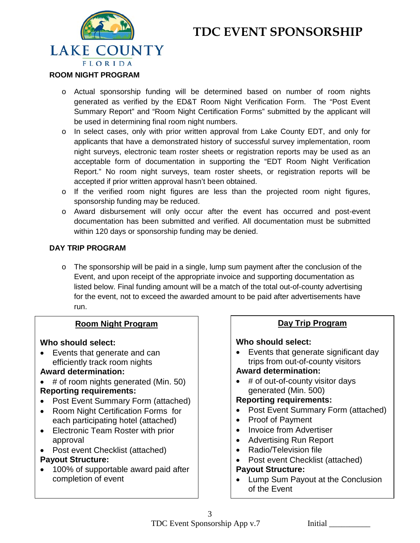# **TDC EVENT SPONSORSHIP**



#### **ROOM NIGHT PROGRAM**

- o Actual sponsorship funding will be determined based on number of room nights generated as verified by the ED&T Room Night Verification Form. The "Post Event Summary Report" and "Room Night Certification Forms" submitted by the applicant will be used in determining final room night numbers.
- o In select cases, only with prior written approval from Lake County EDT, and only for applicants that have a demonstrated history of successful survey implementation, room night surveys, electronic team roster sheets or registration reports may be used as an acceptable form of documentation in supporting the "EDT Room Night Verification Report." No room night surveys, team roster sheets, or registration reports will be accepted if prior written approval hasn't been obtained.
- o If the verified room night figures are less than the projected room night figures, sponsorship funding may be reduced.
- o Award disbursement will only occur after the event has occurred and post-event documentation has been submitted and verified. All documentation must be submitted within 120 days or sponsorship funding may be denied.

### **DAY TRIP PROGRAM**

o The sponsorship will be paid in a single, lump sum payment after the conclusion of the Event, and upon receipt of the appropriate invoice and supporting documentation as listed below. Final funding amount will be a match of the total out-of-county advertising for the event, not to exceed the awarded amount to be paid after advertisements have run.

### **Room Night Program**

### **Who should select:**

• Events that generate and can efficiently track room nights

### **Award determination:**

- # of room nights generated (Min. 50) **Reporting requirements:**
- Post Event Summary Form (attached)
- Room Night Certification Forms for each participating hotel (attached)
- Electronic Team Roster with prior approval
- Post event Checklist (attached) **Payout Structure:**
- 100% of supportable award paid after completion of event

### **Day Trip Program**

### **Who should select:**

Events that generate significant day trips from out-of-county visitors

### **Award determination:**

• # of out-of-county visitor days generated (Min. 500)

### **Reporting requirements:**

- Post Event Summary Form (attached)
- Proof of Payment
- Invoice from Advertiser
- Advertising Run Report
- Radio/Television file
- Post event Checklist (attached)

### **Payout Structure:**

• Lump Sum Payout at the Conclusion of the Event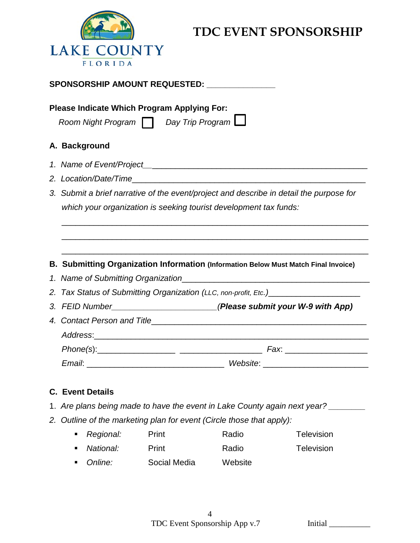

## **TDC EVENT SPONSORSHIP**

| SPONSORSHIP AMOUNT REQUESTED: National Amount Requested:                                                                                                     |  |  |  |  |  |  |  |
|--------------------------------------------------------------------------------------------------------------------------------------------------------------|--|--|--|--|--|--|--|
| <b>Please Indicate Which Program Applying For:</b><br>Room Night Program   Day Trip Program                                                                  |  |  |  |  |  |  |  |
| A. Background                                                                                                                                                |  |  |  |  |  |  |  |
| 1. Name of Event/Project <b>Analysis and American Control</b> to the Control of Tennis and American Control of Tennis                                        |  |  |  |  |  |  |  |
|                                                                                                                                                              |  |  |  |  |  |  |  |
| 3. Submit a brief narrative of the event/project and describe in detail the purpose for<br>which your organization is seeking tourist development tax funds: |  |  |  |  |  |  |  |
| B. Submitting Organization Information (Information Below Must Match Final Invoice)                                                                          |  |  |  |  |  |  |  |
|                                                                                                                                                              |  |  |  |  |  |  |  |
| 2. Tax Status of Submitting Organization (LLC, non-profit, Etc.)________________                                                                             |  |  |  |  |  |  |  |
| 3. FEID Number (Please submit your W-9 with App)                                                                                                             |  |  |  |  |  |  |  |
|                                                                                                                                                              |  |  |  |  |  |  |  |
|                                                                                                                                                              |  |  |  |  |  |  |  |
|                                                                                                                                                              |  |  |  |  |  |  |  |
|                                                                                                                                                              |  |  |  |  |  |  |  |
|                                                                                                                                                              |  |  |  |  |  |  |  |

### **C. Event Details**

- 1. *Are plans being made to have the event in Lake County again next year? \_\_\_\_\_\_\_\_*
- *2. Outline of the marketing plan for event (Circle those that apply):* 
	- **Regional:** Print **Radio Radio Regional:** Print **National:** Print Print Radio Relevision *Online:* Social Media Website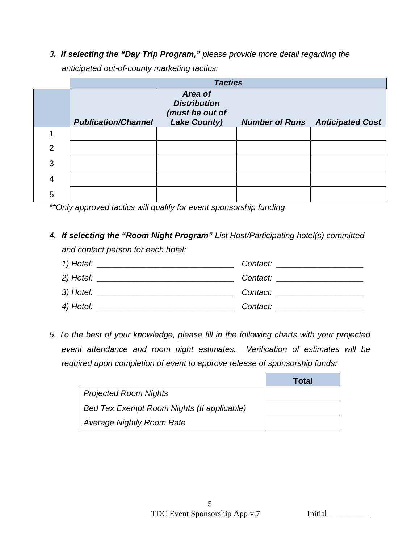*3. If selecting the "Day Trip Program," please provide more detail regarding the* 

*anticipated out-of-county marketing tactics:*

|                | <b>Tactics</b>             |                                                                          |  |                                        |  |  |  |
|----------------|----------------------------|--------------------------------------------------------------------------|--|----------------------------------------|--|--|--|
|                | <b>Publication/Channel</b> | Area of<br><b>Distribution</b><br>(must be out of<br><b>Lake County)</b> |  | <b>Number of Runs</b> Anticipated Cost |  |  |  |
|                |                            |                                                                          |  |                                        |  |  |  |
| $\overline{2}$ |                            |                                                                          |  |                                        |  |  |  |
| 3              |                            |                                                                          |  |                                        |  |  |  |
| 4              |                            |                                                                          |  |                                        |  |  |  |
| 5              |                            |                                                                          |  |                                        |  |  |  |

*\*\*Only approved tactics will qualify for event sponsorship funding*

### *4. If selecting the "Room Night Program" List Host/Participating hotel(s) committed and contact person for each hotel:*



*5. To the best of your knowledge, please fill in the following charts with your projected event attendance and room night estimates. Verification of estimates will be required upon completion of event to approve release of sponsorship funds:*

|                                            | <b>Total</b> |
|--------------------------------------------|--------------|
| <b>Projected Room Nights</b>               |              |
| Bed Tax Exempt Room Nights (If applicable) |              |
| Average Nightly Room Rate                  |              |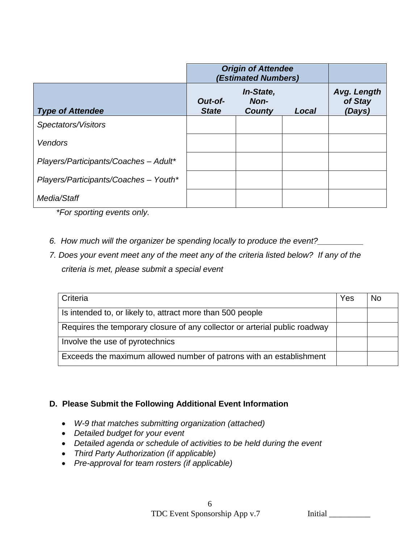|                                       | <b>Origin of Attendee</b><br>(Estimated Numbers) |                                    |       |                                  |
|---------------------------------------|--------------------------------------------------|------------------------------------|-------|----------------------------------|
| <b>Type of Attendee</b>               | Out-of-<br><b>State</b>                          | In-State,<br>Non-<br><b>County</b> | Local | Avg. Length<br>of Stay<br>(Days) |
| Spectators/Visitors                   |                                                  |                                    |       |                                  |
| Vendors                               |                                                  |                                    |       |                                  |
| Players/Participants/Coaches - Adult* |                                                  |                                    |       |                                  |
| Players/Participants/Coaches - Youth* |                                                  |                                    |       |                                  |
| Media/Staff                           |                                                  |                                    |       |                                  |

 *\*For sporting events only.*

- *6. How much will the organizer be spending locally to produce the event?\_\_\_\_\_\_\_\_\_\_*
- *7. Does your event meet any of the meet any of the criteria listed below? If any of the criteria is met, please submit a special event*

| Criteria                                                                   | Yes | N٥ |
|----------------------------------------------------------------------------|-----|----|
| Is intended to, or likely to, attract more than 500 people                 |     |    |
| Requires the temporary closure of any collector or arterial public roadway |     |    |
| Involve the use of pyrotechnics                                            |     |    |
| Exceeds the maximum allowed number of patrons with an establishment        |     |    |

### **D. Please Submit the Following Additional Event Information**

- *W-9 that matches submitting organization (attached)*
- *Detailed budget for your event*
- *Detailed agenda or schedule of activities to be held during the event*
- *Third Party Authorization (if applicable)*
- *Pre-approval for team rosters (if applicable)*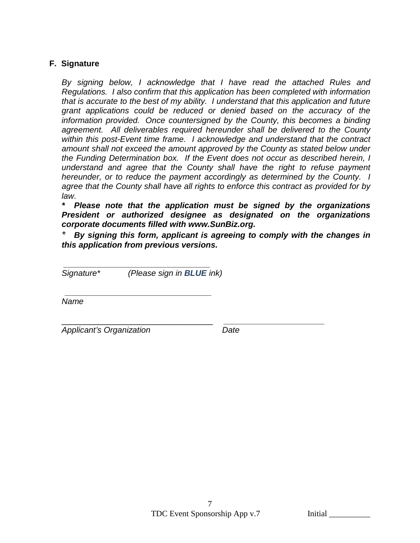### **F. Signature**

*By signing below, I acknowledge that I have read the attached Rules and Regulations. I also confirm that this application has been completed with information that is accurate to the best of my ability. I understand that this application and future grant applications could be reduced or denied based on the accuracy of the information provided. Once countersigned by the County, this becomes a binding agreement. All deliverables required hereunder shall be delivered to the County within this post-Event time frame. I acknowledge and understand that the contract amount shall not exceed the amount approved by the County as stated below under the Funding Determination box. If the Event does not occur as described herein, I understand and agree that the County shall have the right to refuse payment hereunder, or to reduce the payment accordingly as determined by the County. I agree that the County shall have all rights to enforce this contract as provided for by law.* 

*\* Please note that the application must be signed by the organizations President or authorized designee as designated on the organizations corporate documents filled with www.SunBiz.org.* 

*\* By signing this form, applicant is agreeing to comply with the changes in this application from previous versions.*

*\_\_\_\_\_\_\_\_\_\_\_\_\_\_\_\_\_\_\_\_\_\_\_\_\_\_\_\_\_\_\_\_ Signature\* (Please sign in BLUE ink)*

 *\_\_\_\_\_\_\_\_\_\_\_\_\_\_\_\_\_\_\_\_\_\_\_\_\_\_\_\_\_\_\_\_ Name*

\_\_\_\_\_\_\_\_\_\_\_\_\_\_\_\_\_\_\_\_\_\_\_\_\_\_\_\_\_\_\_\_\_ *\_\_\_\_\_\_\_\_\_\_\_\_\_\_\_\_\_\_\_\_\_\_ Applicant's Organization Date*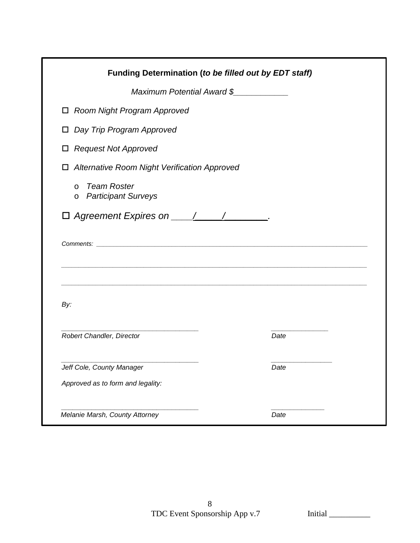|                                                               | Maximum Potential Award \$ |
|---------------------------------------------------------------|----------------------------|
| □ Room Night Program Approved                                 |                            |
| Day Trip Program Approved<br>$\Box$                           |                            |
| <b>Request Not Approved</b><br>□                              |                            |
| <b>Alternative Room Night Verification Approved</b><br>$\Box$ |                            |
| Team Roster<br>$\circ$<br>o Participant Surveys               |                            |
| $\Box$ Agreement Expires on $\angle$ / /                      |                            |
|                                                               |                            |
|                                                               |                            |
| By:                                                           |                            |
| Robert Chandler, Director                                     | Date                       |
| Jeff Cole, County Manager                                     | Date                       |
| Approved as to form and legality:                             |                            |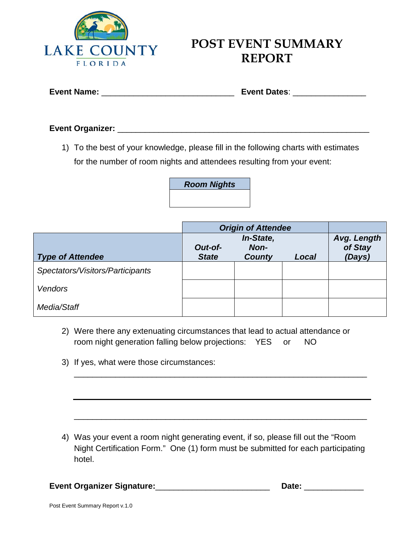

## **POST EVENT SUMMARY REPORT**

### **Event Organizer:** \_\_\_\_\_\_\_\_\_\_\_\_\_\_\_\_\_\_\_\_\_\_\_\_\_\_\_\_\_\_\_\_\_\_\_\_\_\_\_\_\_\_\_\_\_\_\_\_\_\_\_\_\_\_\_

1) To the best of your knowledge, please fill in the following charts with estimates for the number of room nights and attendees resulting from your event:

*Room Nights*

|                                  | <b>Origin of Attendee</b> |                                    |       |                                  |
|----------------------------------|---------------------------|------------------------------------|-------|----------------------------------|
| <b>Type of Attendee</b>          | Out-of-<br><b>State</b>   | In-State,<br>Non-<br><b>County</b> | Local | Avg. Length<br>of Stay<br>(Days) |
| Spectators/Visitors/Participants |                           |                                    |       |                                  |
| <b>Vendors</b>                   |                           |                                    |       |                                  |
| Media/Staff                      |                           |                                    |       |                                  |

- 2) Were there any extenuating circumstances that lead to actual attendance or room night generation falling below projections: YES or NO
- 3) If yes, what were those circumstances:

4) Was your event a room night generating event, if so, please fill out the "Room Night Certification Form." One (1) form must be submitted for each participating hotel.

\_\_\_\_\_\_\_\_\_\_\_\_\_\_\_\_\_\_\_\_\_\_\_\_\_\_\_\_\_\_\_\_\_\_\_\_\_\_\_\_\_\_\_\_\_\_\_\_\_\_\_\_\_\_\_\_\_\_\_\_\_\_\_\_

\_\_\_\_\_\_\_\_\_\_\_\_\_\_\_\_\_\_\_\_\_\_\_\_\_\_\_\_\_\_\_\_\_\_\_\_\_\_\_\_\_\_\_\_\_\_\_\_\_\_\_\_\_\_\_\_\_\_\_\_\_\_\_\_

**Event Organizer Signature:**\_\_\_\_\_\_\_\_\_\_\_\_\_\_\_\_\_\_\_\_\_\_\_\_\_ **Date:** \_\_\_\_\_\_\_\_\_\_\_\_\_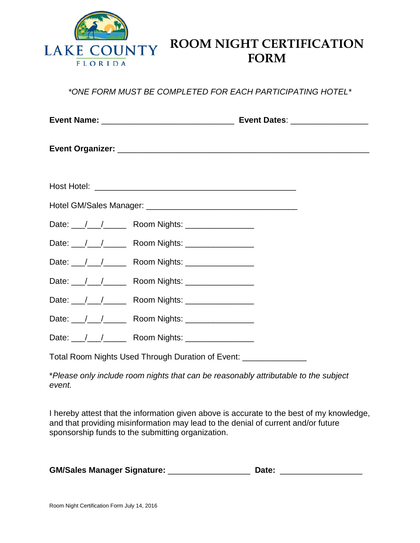

## **ROOM NIGHT CERTIFICATION FORM**

*\*ONE FORM MUST BE COMPLETED FOR EACH PARTICIPATING HOTEL\**

|  | Date: / / / Room Nights: _ _ _ _ _ _ _ _ _ _ _ |  |  |  |  |  |
|--|------------------------------------------------|--|--|--|--|--|
|  |                                                |  |  |  |  |  |
|  | Date: 11 12 2000 Nights: 2000 Nights:          |  |  |  |  |  |
|  |                                                |  |  |  |  |  |
|  | Date: 11 12 2000 Nights: 2000 Nights:          |  |  |  |  |  |
|  |                                                |  |  |  |  |  |
|  |                                                |  |  |  |  |  |
|  |                                                |  |  |  |  |  |

Total Room Nights Used Through Duration of Event: \_\_\_\_\_\_\_\_\_\_\_\_\_\_

\**Please only include room nights that can be reasonably attributable to the subject event.*

I hereby attest that the information given above is accurate to the best of my knowledge, and that providing misinformation may lead to the denial of current and/or future sponsorship funds to the submitting organization.

| <b>GM/Sales Manager Signature:</b> | Date: |  |
|------------------------------------|-------|--|
|------------------------------------|-------|--|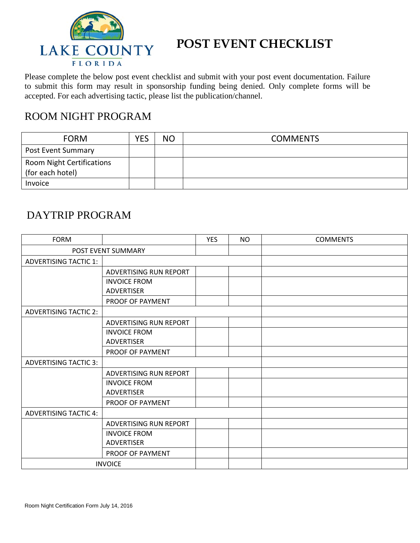

## **POST EVENT CHECKLIST**

Please complete the below post event checklist and submit with your post event documentation. Failure to submit this form may result in sponsorship funding being denied. Only complete forms will be accepted. For each advertising tactic, please list the publication/channel.

### ROOM NIGHT PROGRAM

| <b>FORM</b>                                   | <b>YFC</b> | <b>NO</b> | <b>COMMENTS</b> |
|-----------------------------------------------|------------|-----------|-----------------|
| Post Event Summary                            |            |           |                 |
| Room Night Certifications<br>(for each hotel) |            |           |                 |
| Invoice                                       |            |           |                 |

### DAYTRIP PROGRAM

| <b>FORM</b>                  |                        | <b>YES</b> | <b>NO</b> | <b>COMMENTS</b> |
|------------------------------|------------------------|------------|-----------|-----------------|
|                              | POST EVENT SUMMARY     |            |           |                 |
| <b>ADVERTISING TACTIC 1:</b> |                        |            |           |                 |
|                              | ADVERTISING RUN REPORT |            |           |                 |
|                              | <b>INVOICE FROM</b>    |            |           |                 |
|                              | <b>ADVERTISER</b>      |            |           |                 |
|                              | PROOF OF PAYMENT       |            |           |                 |
| <b>ADVERTISING TACTIC 2:</b> |                        |            |           |                 |
|                              | ADVERTISING RUN REPORT |            |           |                 |
|                              | <b>INVOICE FROM</b>    |            |           |                 |
|                              | <b>ADVERTISER</b>      |            |           |                 |
|                              | PROOF OF PAYMENT       |            |           |                 |
| <b>ADVERTISING TACTIC 3:</b> |                        |            |           |                 |
|                              | ADVERTISING RUN REPORT |            |           |                 |
|                              | <b>INVOICE FROM</b>    |            |           |                 |
|                              | <b>ADVERTISER</b>      |            |           |                 |
|                              | PROOF OF PAYMENT       |            |           |                 |
| <b>ADVERTISING TACTIC 4:</b> |                        |            |           |                 |
|                              | ADVERTISING RUN REPORT |            |           |                 |
|                              | <b>INVOICE FROM</b>    |            |           |                 |
|                              | <b>ADVERTISER</b>      |            |           |                 |
|                              | PROOF OF PAYMENT       |            |           |                 |
| <b>INVOICE</b>               |                        |            |           |                 |